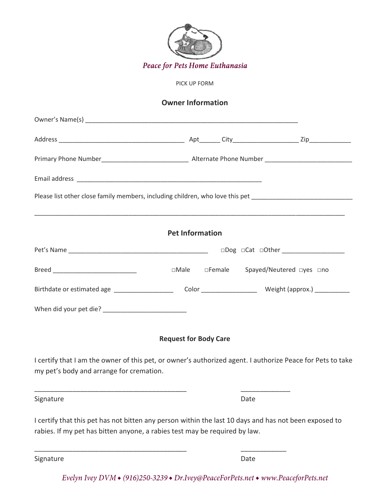

PICK UP FORM

# **Owner Information**

|                                                                                                                                                                                     |                              | Please list other close family members, including children, who love this pet ________________________________ |
|-------------------------------------------------------------------------------------------------------------------------------------------------------------------------------------|------------------------------|----------------------------------------------------------------------------------------------------------------|
|                                                                                                                                                                                     | <b>Pet Information</b>       |                                                                                                                |
|                                                                                                                                                                                     |                              | □Dog □Cat □Other ___________________                                                                           |
|                                                                                                                                                                                     | $\square$ Male               | □Female Spayed/Neutered □yes □no                                                                               |
|                                                                                                                                                                                     |                              |                                                                                                                |
|                                                                                                                                                                                     |                              |                                                                                                                |
|                                                                                                                                                                                     | <b>Request for Body Care</b> |                                                                                                                |
| my pet's body and arrange for cremation.                                                                                                                                            |                              | I certify that I am the owner of this pet, or owner's authorized agent. I authorize Peace for Pets to take     |
| Signature                                                                                                                                                                           |                              | Date                                                                                                           |
| I certify that this pet has not bitten any person within the last 10 days and has not been exposed to<br>rabies. If my pet has bitten anyone, a rabies test may be required by law. |                              |                                                                                                                |
| <u> 1989 - Johann Barbara, martin amerikan basar dan berasal dan berasal dari berasal dalam berasal dalam berasal</u><br>Signature                                                  |                              | Date                                                                                                           |

Evelyn Ivey DVM + (916)250-3239 + Dr.Ivey@PeaceForPets.net + www.PeaceforPets.net